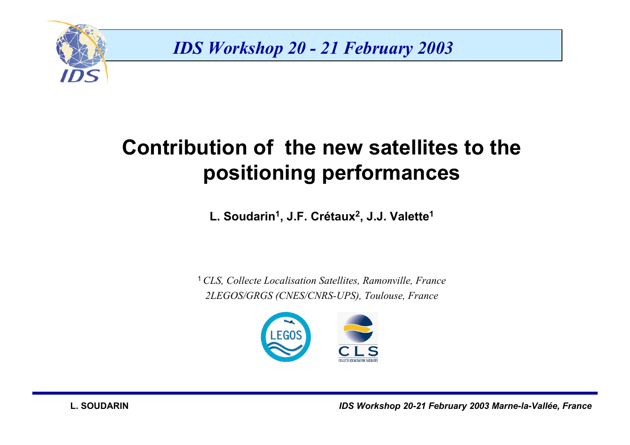

*IDS Workshop 20 - 21 February 2003*

# **Contribution of the new satellites to the positioning performances**

L. Soudarin<sup>1</sup>, J.F. Crétaux<sup>2</sup>, J.J. Valette<sup>1</sup>

<sup>1</sup>*CLS, Collecte Localisation Satellites, Ramonville, France 2LEGOS/GRGS (CNES/CNRS-UPS), Toulouse, France*

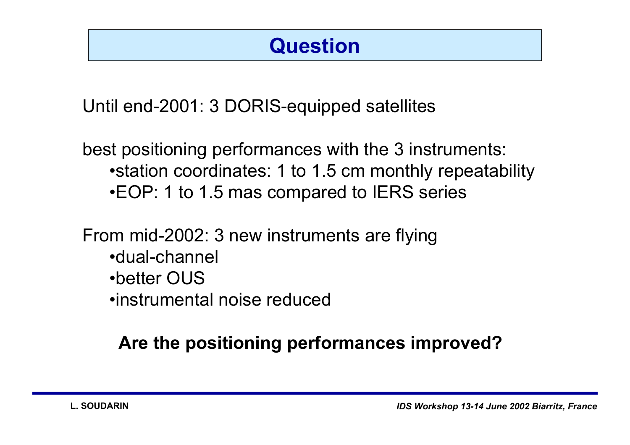## **Question**

Until end-2001: 3 DORIS-equipped satellites

best positioning performances with the 3 instruments: • station coordinates: 1 to 1.5 cm monthly repeatability  $\bullet$ EOP: 1 to 1.5 mas compared to IERS series

From mid-2002: 3 new instruments are flying

- •dual-channel
- •better OUS
- •instrumental noise reduced

#### **Are the positioning performances improved?**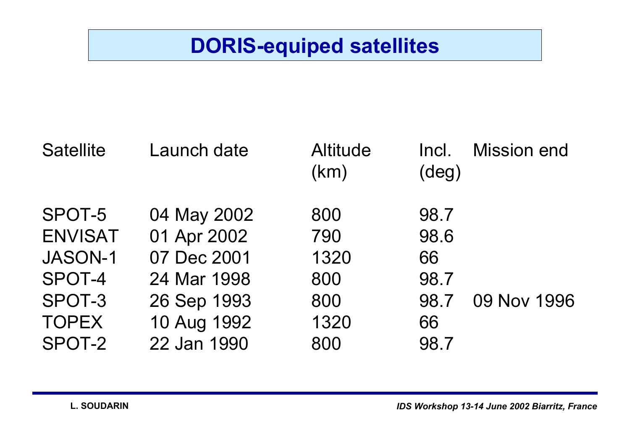## **DORIS-equiped satellites**

| <b>Satellite</b> | Launch date | <b>Altitude</b><br>(km) | Incl.<br>$(\text{deg})$ | <b>Mission end</b> |
|------------------|-------------|-------------------------|-------------------------|--------------------|
| SPOT-5           | 04 May 2002 | 800                     | 98.7                    |                    |
| <b>ENVISAT</b>   | 01 Apr 2002 | 790                     | 98.6                    |                    |
| <b>JASON-1</b>   | 07 Dec 2001 | 1320                    | 66                      |                    |
| SPOT-4           | 24 Mar 1998 | 800                     | 98.7                    |                    |
| SPOT-3           | 26 Sep 1993 | 800                     | 98.7                    | 09 Nov 1996        |
| <b>TOPEX</b>     | 10 Aug 1992 | 1320                    | 66                      |                    |
| SPOT-2           | 22 Jan 1990 | 800                     | 98.7                    |                    |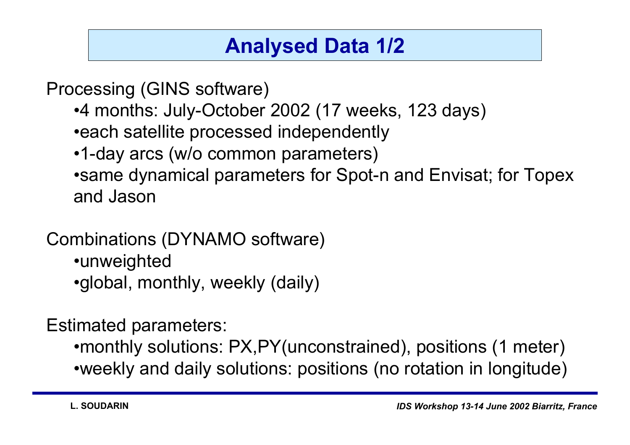## **Analysed Data 1/2**

Processing (GINS software)

- •4 months: July-October 2002 (17 weeks, 123 days)
- **each satellite processed independently**
- •1-day arcs (w/o common parameters)
- same dynamical parameters for Spot-n and Envisat; for Topex and Jason

#### Combinations (DYNAMO software)

- •unweighted
- •global, monthly, weekly (daily)

Estimated parameters:

• monthly solutions: PX, PY (unconstrained), positions (1 meter)

ïweekly and daily solutions: positions (no rotation in longitude)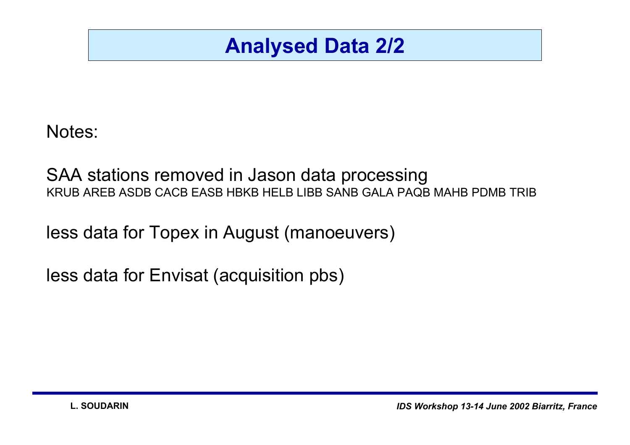### **Analysed Data 2/2**

Notes:

SAA stations removed in Jason data processing KRUB AREB ASDB CACB EASB HBKB HELB LIBB SANB GALA PAQB MAHB PDMB TRIB

less data for Topex in August (manoeuvers)

less data for Envisat (acquisition pbs)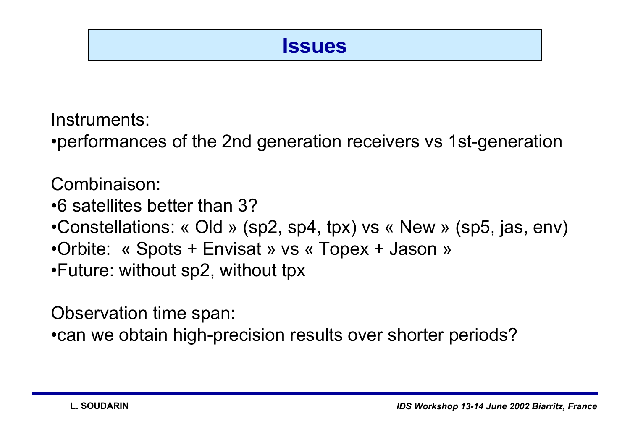#### **Issues**

Instruments:• performances of the 2nd generation receivers vs 1st-generation

Combinaison:

 $\bullet$ 6 satellites better than 3?

- •Constellations: « Old » (sp2, sp4, tpx) vs « New » (sp5, jas, env)
- •Orbite: « Spots + Envisat » vs « Topex + Jason »
- $\bullet$ Future: without sp2, without tpx

Observation time span:

 $\bullet$ can we obtain high-precision results over shorter periods?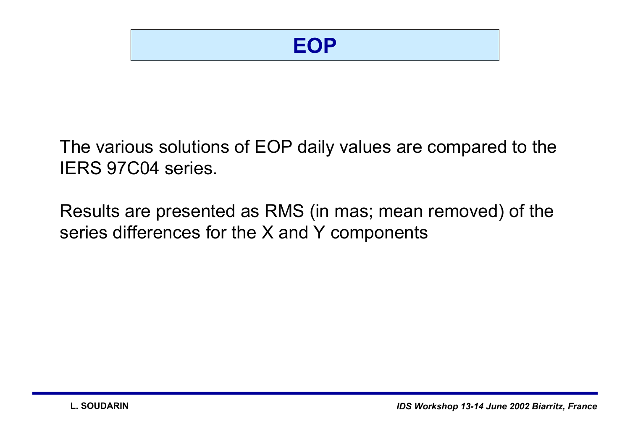The various solutions of EOP daily values are compared to the IERS 97C04 series.

Results are presented as RMS (in mas; mean removed) of the series differences for the X and Y components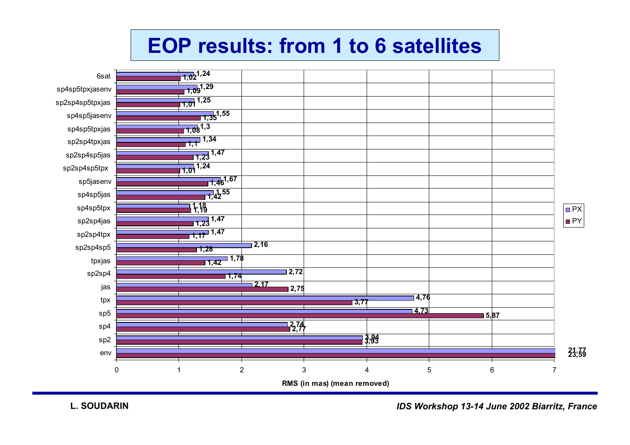# **EOP results: from 1 to 6 satellites**



*IDS Workshop 13-14 June 2002 Biarritz, France*

PX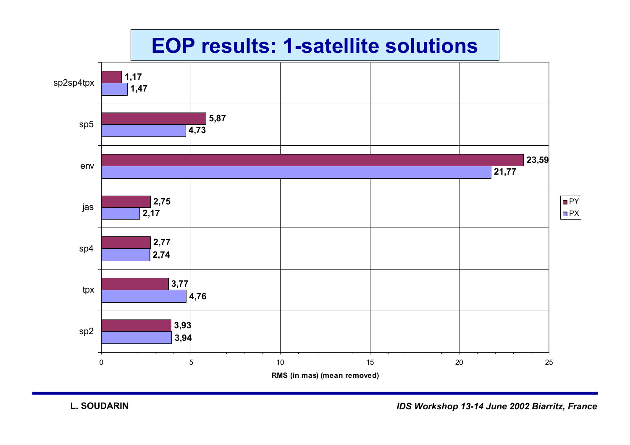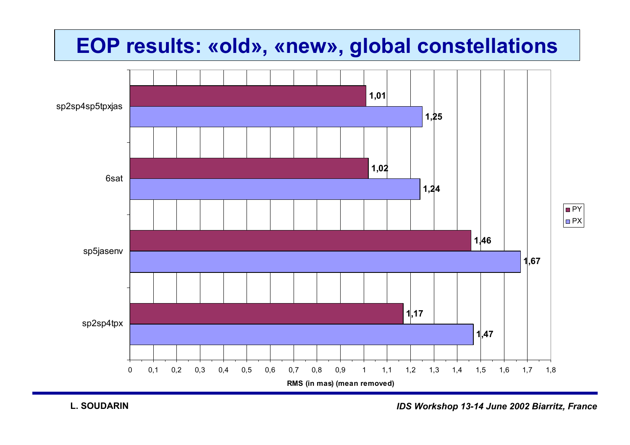### **EOP results: «old», «new», global constellations**

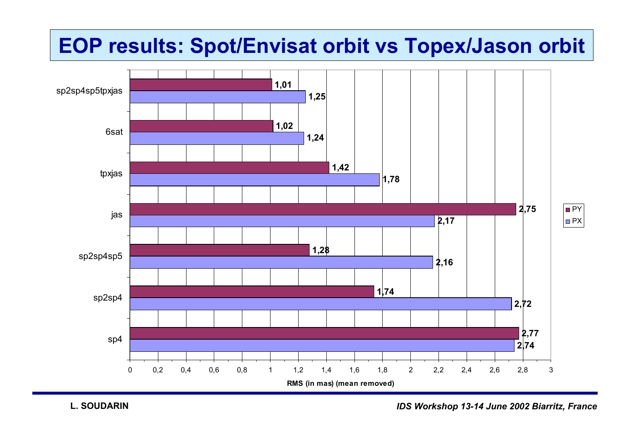## **EOP results: Spot/Envisat orbit vs Topex/Jason orbit**



**L. SOUDARIN**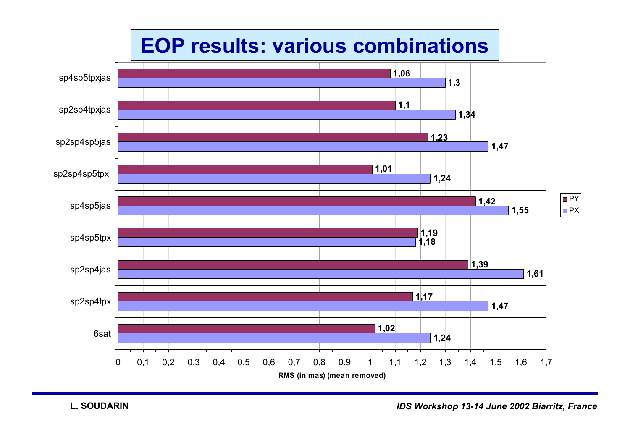# **EOP results: various combinations**

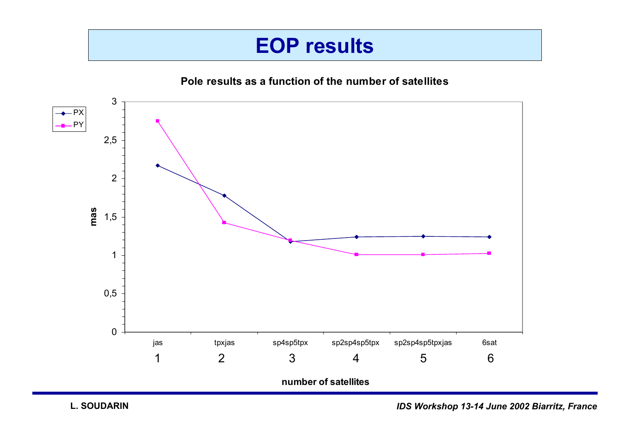### **EOP results**

**Pole results as a function of the number of satellites**

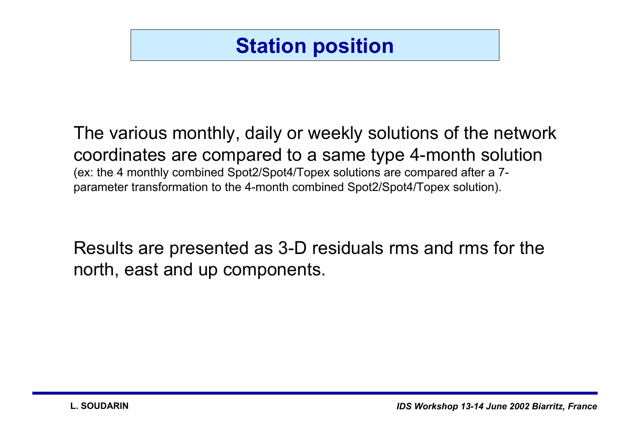## **Station position**

# The various monthly, daily or weekly solutions of the network coordinates are compared to a same type 4-month solution

(ex: the 4 monthly combined Spot2/Spot4/Topex solutions are compared after a 7 parameter transformation to the 4-month combined Spot2/Spot4/Topex solution).

Results are presented as 3-D residuals rms and rms for the north, east and up components.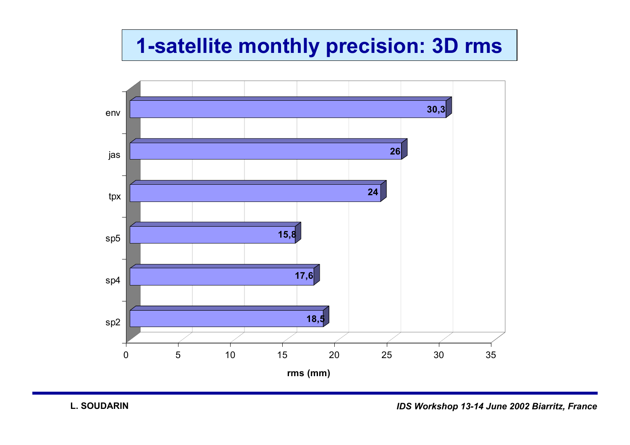## **1-satellite monthly precision: 3D rms**

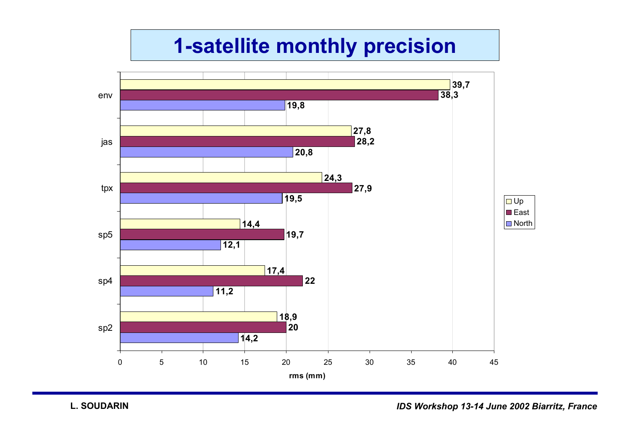## **1-satellite monthly precision**

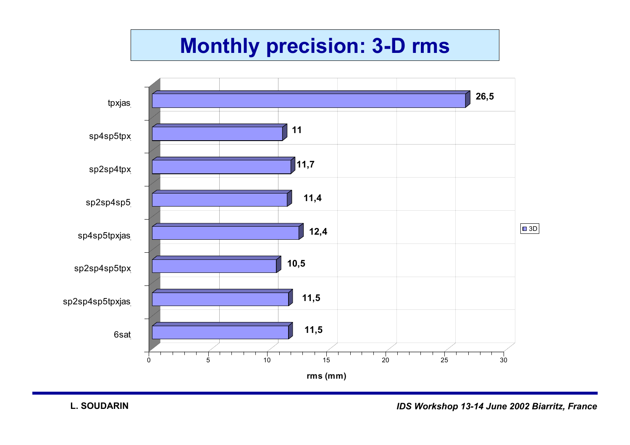## **Monthly precision: 3-D rms**

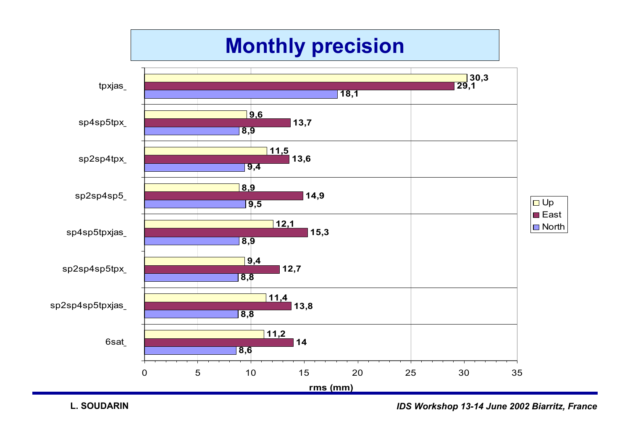# **Monthly precision**



**L. SOUDARIN**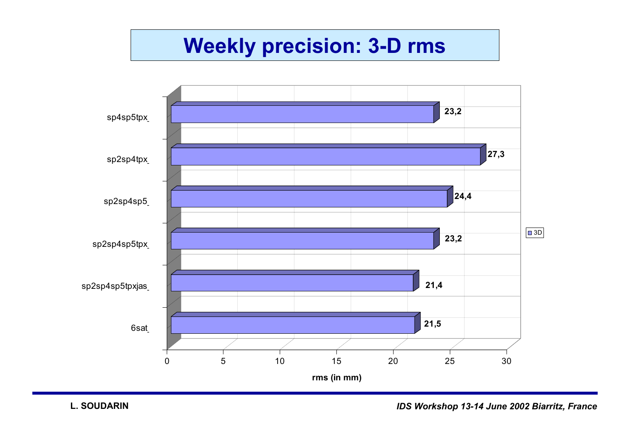### **Weekly precision: 3-D rms**

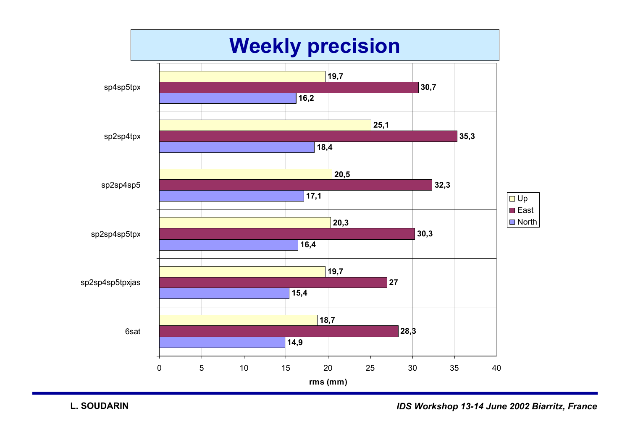

**L. SOUDARIN**